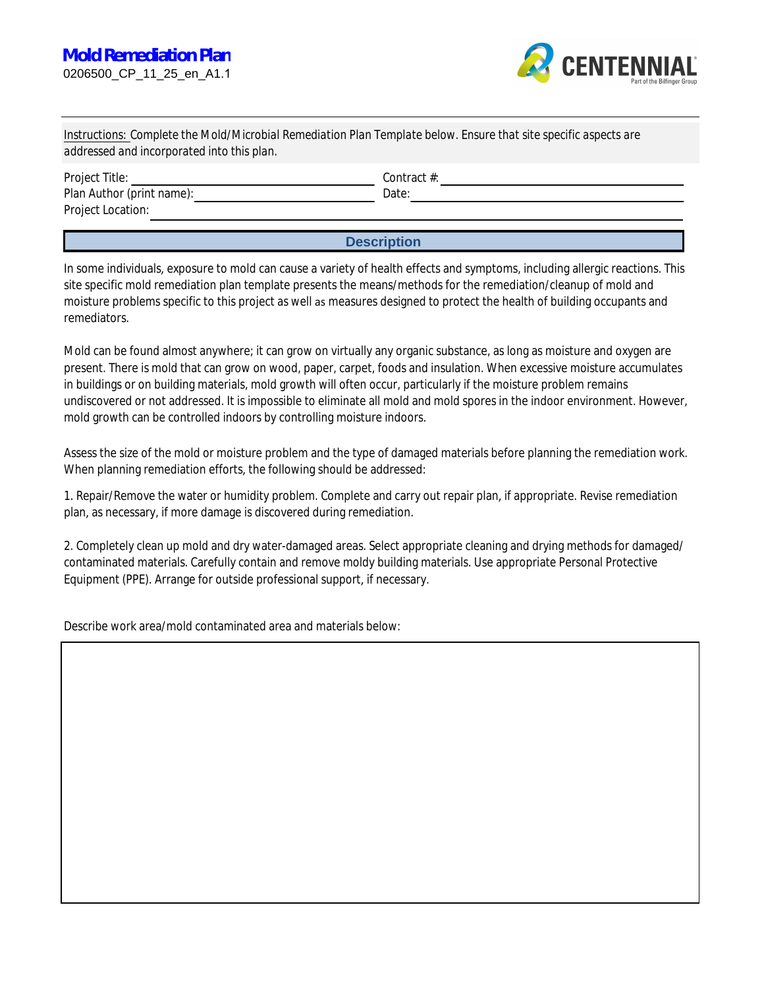

Instructions: Complete the Mold/Microbial Remediation Plan Template below. Ensure that site specific aspects are addressed and incorporated into this plan.

| <b>Project Title:</b>            | Contract $\#$ : |
|----------------------------------|-----------------|
| <b>Plan Author (print name):</b> | Date:           |
| <b>Project Location:</b>         |                 |
|                                  |                 |

**Description** 

In some individuals, exposure to mold can cause a variety of health effects and symptoms, including allergic reactions. This site specific mold remediation plan template presents the means/methods for the remediation/cleanup of mold and moisture problems specific to this project as well as measures designed to protect the health of building occupants and remediators.

Mold can be found almost anywhere; it can grow on virtually any organic substance, as long as moisture and oxygen are present. There is mold that can grow on wood, paper, carpet, foods and insulation. When excessive moisture accumulates in buildings or on building materials, mold growth will often occur, particularly if the moisture problem remains undiscovered or not addressed. It is impossible to eliminate all mold and mold spores in the indoor environment. However, mold growth can be controlled indoors by controlling moisture indoors.

Assess the size of the mold or moisture problem and the type of damaged materials before planning the remediation work. When planning remediation efforts, the following should be addressed:

1. Repair/Remove the water or humidity problem. Complete and carry out repair plan, if appropriate. Revise remediation plan, as necessary, if more damage is discovered during remediation.

2. Completely clean up mold and dry water-damaged areas. Select appropriate cleaning and drying methods for damaged/ contaminated materials. Carefully contain and remove moldy building materials. Use appropriate Personal Protective Equipment (PPE). Arrange for outside professional support, if necessary.

Describe work area/mold contaminated area and materials below: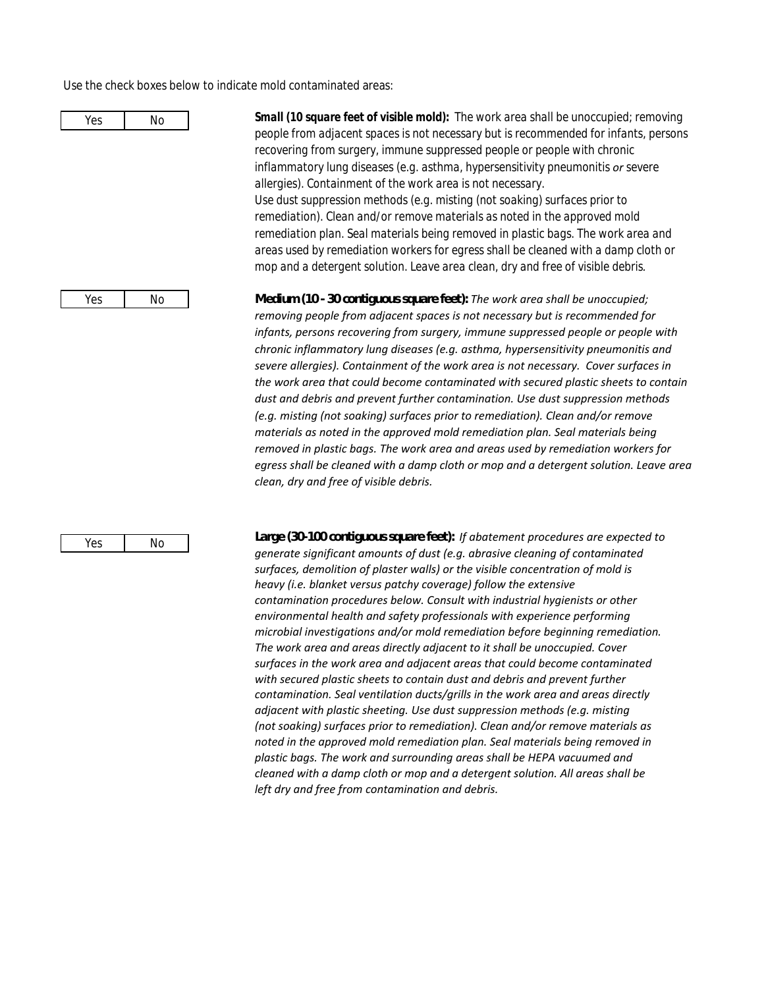Use the check boxes below to indicate mold contaminated areas:



Yes

No

Small (10 square feet of visible mold): The work area shall be unoccupied; removing people from adjacent spaces is not necessary but is recommended for infants, persons recovering from surgery, immune suppressed people or people with chronic inflammatory lung diseases (e.g. asthma, hypersensitivity pneumonitis or severe allergies). Containment of the work area is not necessary. Use dust suppression methods (e.g. misting (not soaking) surfaces prior to remediation). Clean and/or remove materials as noted in the approved mold remediation plan. Seal materials being removed in plastic bags. The work area and areas used by remediation workers for egress shall be cleaned with a damp cloth or mop and a detergent solution. Leave area clean, dry and free of visible debris.

**Medum(10 30contiguous square feet):** The work area shall be unoccupied; removing people from adjacent spaces is not necessary but is recommended for infants, persons recovering from surgery, immune suppressed people or people with chronic inflammatory lung diseases (e.g. asthma, hypersensitivity pneumonitis and severe allergies). Containment of the work area is not necessary. Cover surfaces in the work area that could become contaminated with secured plastic sheets to contain dust and debris and prevent further contamination. Use dust suppression methods (e.g. misting (not soaking) surfaces prior to remediation). Clean and/or remove materials as noted in the approved mold remediation plan. Seal materials being removed in plastic bags. The work area and areas used by remediation workers for egress shall be cleaned with a damp cloth or mop and a detergent solution. Leave area clean, dry and free of visible debris.

Large (30 100 contiguous square feet): If abatement procedures are expected to generate significant amounts of dust (e.g. abrasive cleaning of contaminated surfaces, demolition of plaster walls) or the visible concentration of mold is heavy (i.e. blanket versus patchy coverage) follow the extensive contamination procedures below. Consult with industrial hygienists or other environmental health and safety professionals with experience performing microbial investigations and/or mold remediation before beginning remediation. The work area and areas directly adjacent to it shall be unoccupied. Cover surfaces in the work area and adjacent areas that could become contaminated with secured plastic sheets to contain dust and debris and prevent further contamination. Seal ventilation ducts/grills in the work area and areas directly adjacent with plastic sheeting. Use dust suppression methods (e.g. misting (not soaking) surfaces prior to remediation). Clean and/or remove materials as noted in the approved mold remediation plan. Seal materials being removed in plastic bags. The work and surrounding areas shall be HEPA vacuumed and cleaned with a damp cloth or mop and a detergent solution. All areas shall be left dry and free from contamination and debris.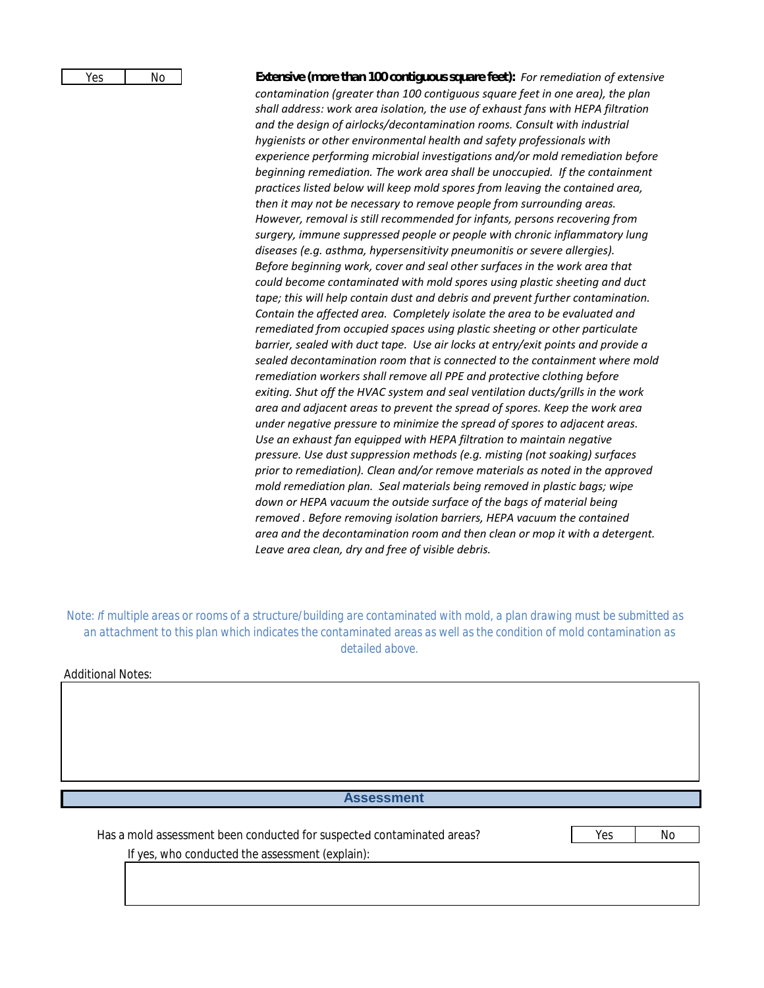| Yes | No |
|-----|----|
|     |    |

**Extensive (more than 100 contiguous square feet):** For remediation of extensive contamination (greater than 100 contiguous square feet in one area), the plan shall address: work area isolation, the use of exhaust fans with HEPA filtration and the design of airlocks/decontamination rooms. Consult with industrial hygienists or other environmental health and safety professionals with experience performing microbial investigations and/or mold remediation before beginning remediation. The work area shall be unoccupied. If the containment practices listed below will keep mold spores from leaving the contained area. then it may not be necessary to remove people from surrounding areas. However, removal is still recommended for infants, persons recovering from surgery, immune suppressed people or people with chronic inflammatory lung diseases (e.g. asthma, hypersensitivity pneumonitis or severe allergies). Before beginning work, cover and seal other surfaces in the work area that could become contaminated with mold spores using plastic sheeting and duct tape; this will help contain dust and debris and prevent further contamination. Contain the affected area. Completely isolate the area to be evaluated and remediated from occupied spaces using plastic sheeting or other particulate barrier, sealed with duct tape. Use air locks at entry/exit points and provide a sealed decontamination room that is connected to the containment where mold remediation workers shall remove all PPE and protective clothing before exiting. Shut off the HVAC system and seal ventilation ducts/grills in the work area and adjacent areas to prevent the spread of spores. Keep the work area under negative pressure to minimize the spread of spores to adjacent areas. Use an exhaust fan equipped with HEPA filtration to maintain negative pressure. Use dust suppression methods (e.g. misting (not soaking) surfaces prior to remediation). Clean and/or remove materials as noted in the approved mold remediation plan. Seal materials being removed in plastic bags; wipe down or HEPA vacuum the outside surface of the bags of material being removed. Before removing isolation barriers, HEPA vacuum the contained area and the decontamination room and then clean or mop it with a detergent. Leave area clean, dry and free of visible debris.

Note: If multiple areas or rooms of a structure/building are contaminated with mold, a plan drawing must be submitted as an attachment to this plan which indicates the contaminated areas as well as the condition of mold contamination as detailed above.

**Additional Notes:** 

# **Assessment**

Has a mold assessment been conducted for suspected contaminated areas?

Yes N<sub>o</sub>

If yes, who conducted the assessment (explain):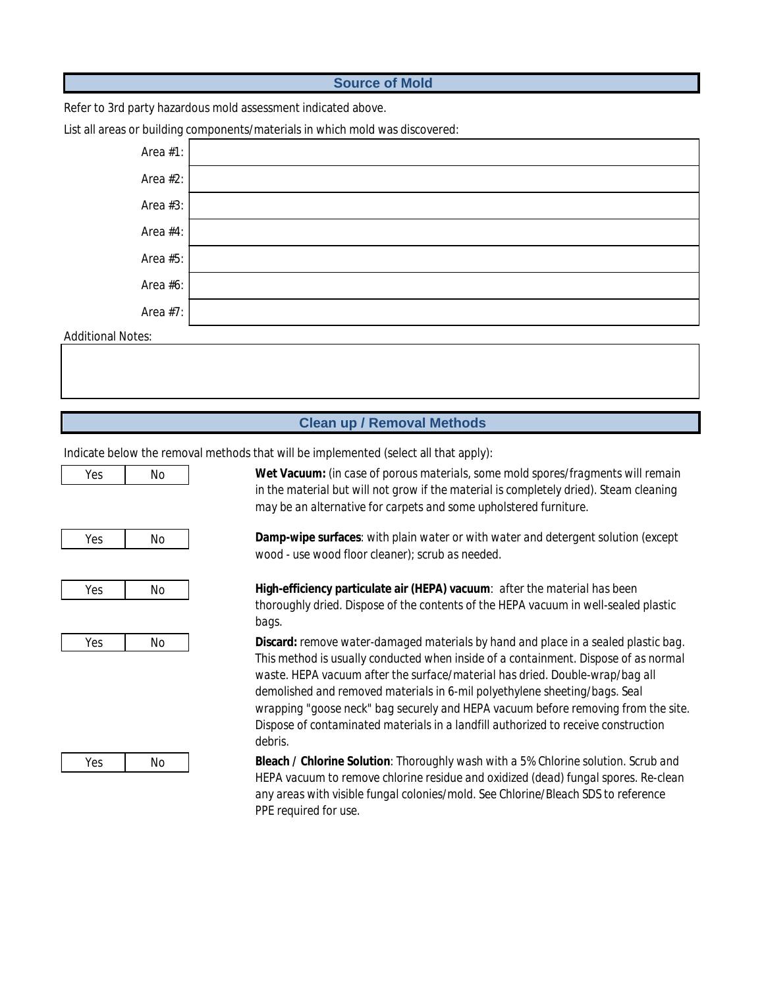### **Source of Mold**

Refer to 3rd party hazardous mold assessment indicated above.

#### List all areas or building components/materials in which mold was discovered:



#### **Additional Notes:**

### **Clean up / Removal Methods**

Indicate below the removal methods that will be implemented (select all that apply):

| Yes | No |
|-----|----|
|     |    |
|     |    |
| Yes | No |
|     |    |
| Yes | No |
|     |    |
|     |    |
| Yes | No |
|     |    |
|     |    |
|     |    |
|     |    |

in the material but will not grow if the material is completely dried). Steam cleaning may be an alternative for carpets and some upholstered furniture.

Wet Vacuum: (in case of porous materials, some mold spores/fragments will remain

Damp-wipe surfaces: with plain water or with water and detergent solution (except wood - use wood floor cleaner): scrub as needed.

High-efficiency particulate air (HEPA) vacuum: after the material has been thoroughly dried. Dispose of the contents of the HEPA vacuum in well-sealed plastic bags.

**Discard:** remove water-damaged materials by hand and place in a sealed plastic bag. This method is usually conducted when inside of a containment. Dispose of as normal waste. HEPA vacuum after the surface/material has dried. Double-wrap/bag all demolished and removed materials in 6-mil polyethylene sheeting/bags. Seal wrapping "goose neck" bag securely and HEPA vacuum before removing from the site. Dispose of contaminated materials in a landfill authorized to receive construction debris.

Yes No Bleach / Chlorine Solution: Thoroughly wash with a 5% Chlorine solution. Scrub and HEPA vacuum to remove chlorine residue and oxidized (dead) fungal spores. Re-clean any areas with visible fungal colonies/mold. See Chlorine/Bleach SDS to reference **PPE** required for use.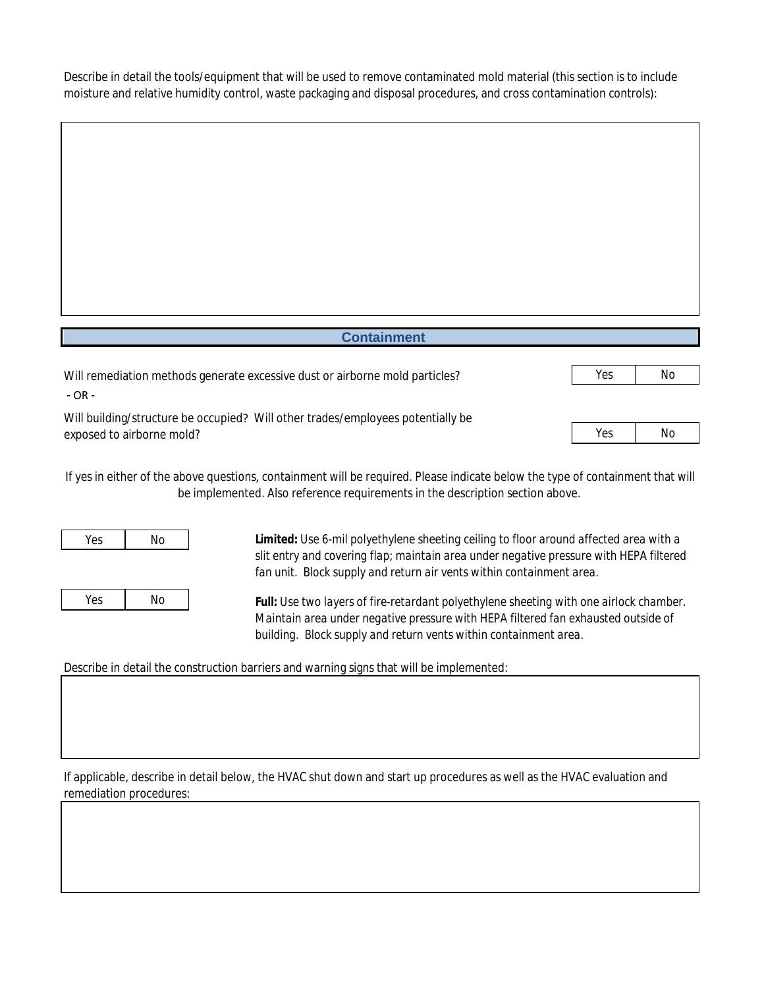Describe in detail the tools/equipment that will be used to remove contaminated mold material (this section is to include moisture and relative humidity control, waste packaging and disposal procedures, and cross contamination controls):

| <b>Containment</b>                                                                                           |     |    |
|--------------------------------------------------------------------------------------------------------------|-----|----|
| Will remediation methods generate excessive dust or airborne mold particles?<br>- OR -                       | Yes | No |
| Will building/structure be occupied? Will other trades/employees potentially be<br>exposed to airborne mold? | Yes | No |

If yes in either of the above questions, containment will be required. Please indicate below the type of containment that will be implemented. Also reference requirements in the description section above.

| No | Yes |
|----|-----|
|    |     |
|    |     |
|    |     |

N<sub>o</sub>

Yes

Limited: Use 6-mil polyethylene sheeting ceiling to floor around affected area with a slit entry and covering flap; maintain area under negative pressure with HEPA filtered fan unit. Block supply and return air vents within containment area.

**Full:** Use two layers of fire-retardant polyethylene sheeting with one airlock chamber. Maintain area under negative pressure with HEPA filtered fan exhausted outside of building. Block supply and return vents within containment area.

Describe in detail the construction barriers and warning signs that will be implemented:

If applicable, describe in detail below, the HVAC shut down and start up procedures as well as the HVAC evaluation and remediation procedures: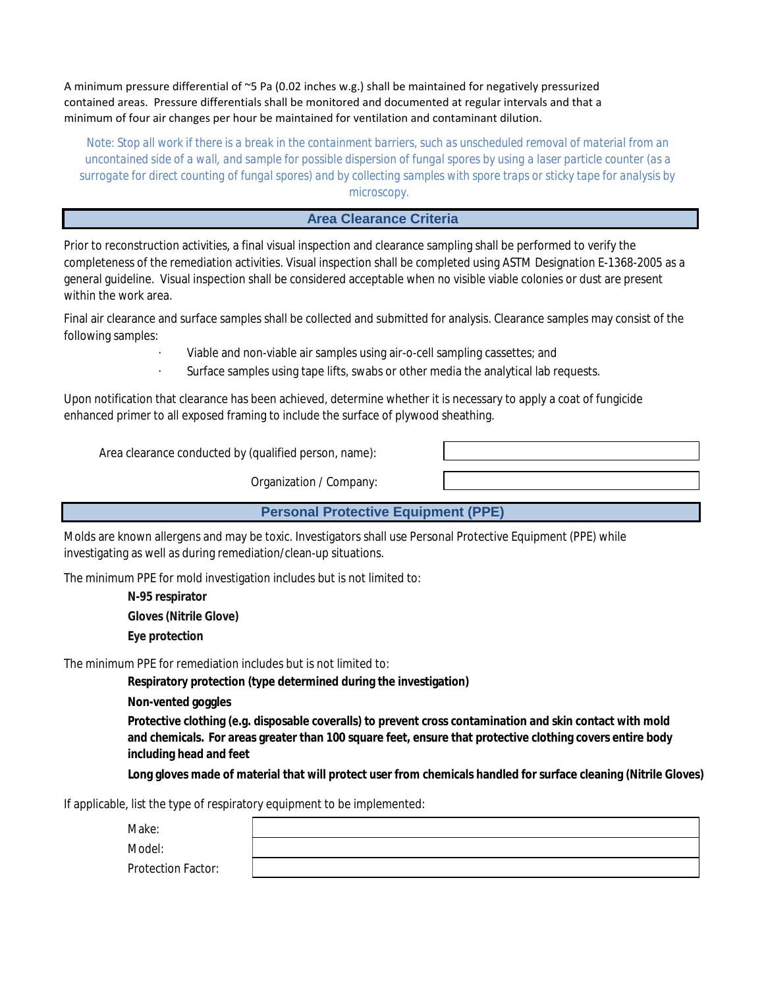A minimum pressure differential of ~5 Pa (0.02 inches w.g.) shall be maintained for negatively pressurized contained areas. Pressure differentials shall be monitored and documented at regular intervals and that a minimum of four air changes per hour be maintained for ventilation and contaminant dilution.

Note: Stop all work if there is a break in the containment barriers, such as unscheduled removal of material from an uncontained side of a wall, and sample for possible dispersion of fungal spores by using a laser particle counter (as a surrogate for direct counting of fungal spores) and by collecting samples with spore traps or sticky tape for analysis by microscopy.

# **Area Clearance Criteria**

Prior to reconstruction activities, a final visual inspection and clearance sampling shall be performed to verify the completeness of the remediation activities. Visual inspection shall be completed using ASTM Designation E-1368-2005 as a general guideline. Visual inspection shall be considered acceptable when no visible viable colonies or dust are present within the work area.

Final air clearance and surface samples shall be collected and submitted for analysis. Clearance samples may consist of the following samples:

Viable and non-viable air samples using air-o-cell sampling cassettes; and

Surface samples using tape lifts, swabs or other media the analytical lab requests.

Upon notification that clearance has been achieved, determine whether it is necessary to apply a coat of fungicide enhanced primer to all exposed framing to include the surface of plywood sheathing.

Area clearance conducted by (qualified person, name):

**Organization / Company:** 

**Personal Protective Equipment (PPE)** 

Molds are known allergens and may be toxic. Investigators shall use Personal Protective Equipment (PPE) while investigating as well as during remediation/clean-up situations.

The minimum PPE for mold investigation includes but is not limited to:

N-95 respirator **Gloves (Nitrile Glove) Eye protection** 

The minimum PPE for remediation includes but is not limited to:

Respiratory protection (type determined during the investigation)

**Non-vented goggles** 

Protective clothing (e.g. disposable coveralls) to prevent cross contamination and skin contact with mold and chemicals. For areas greater than 100 square feet, ensure that protective clothing covers entire body including head and feet

Long gloves made of material that will protect user from chemicals handled for surface cleaning (Nitrile Gloves)

If applicable, list the type of respiratory equipment to be implemented:

Make:

Model:

**Protection Factor:**